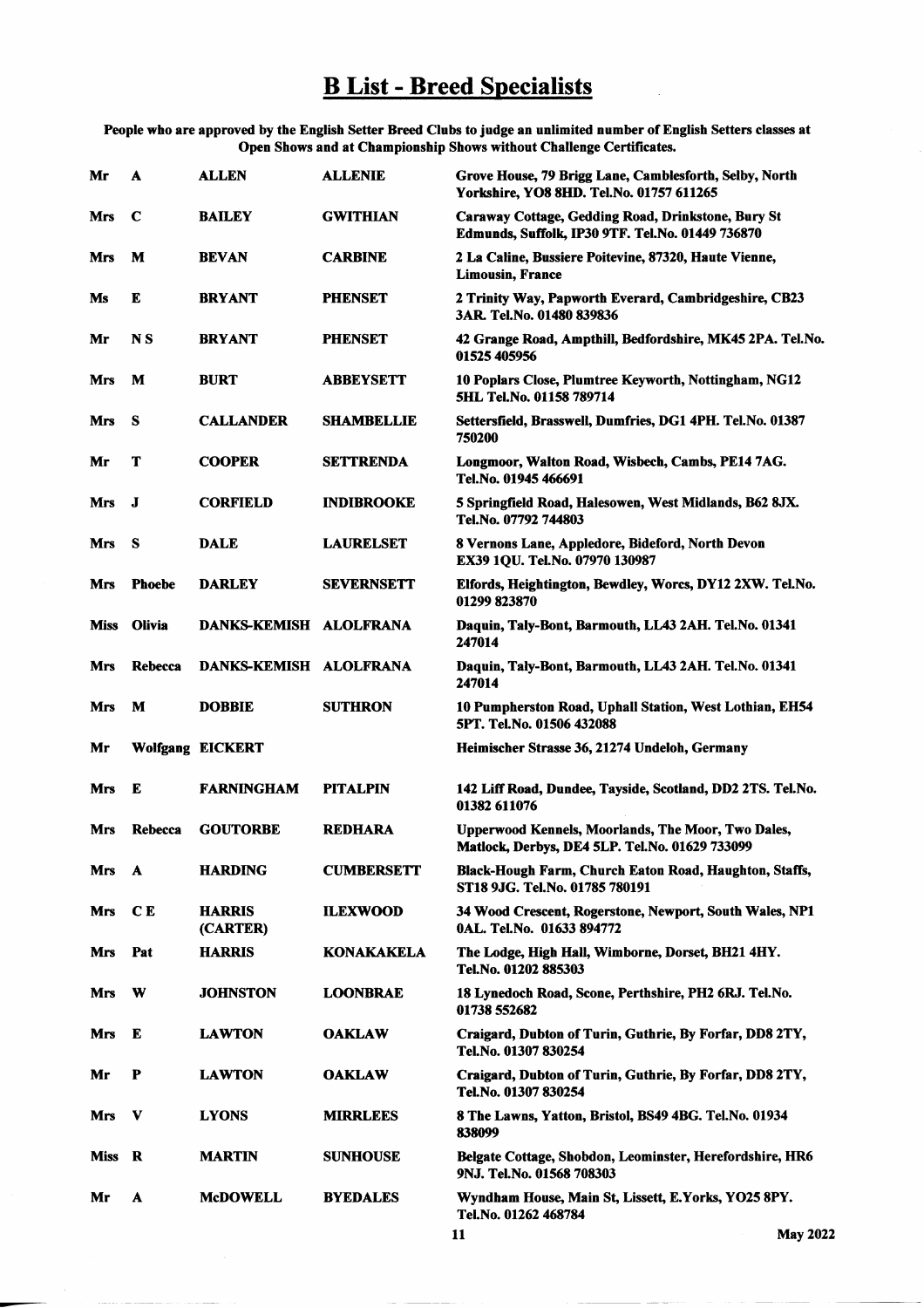## **B List - Breed Specialists**

People who are approved by the English Setter Breed Clubs to judge an unlimited number of English Setters classes at<br>Open Shows and at Championship Shows without Challenge Certificates.

| Mr         | A             | <b>ALLEN</b>              | <b>ALLENIE</b>    | Grove House, 79 Brigg Lane, Camblesforth, Selby, North<br>Yorkshire, YO8 8HD. Tel.No. 01757 611265     |
|------------|---------------|---------------------------|-------------------|--------------------------------------------------------------------------------------------------------|
| Mrs        | C             | <b>BAILEY</b>             | <b>GWITHIAN</b>   | Caraway Cottage, Gedding Road, Drinkstone, Bury St<br>Edmunds, Suffolk, IP30 9TF. Tel.No. 01449 736870 |
| Mrs        | M             | <b>BEVAN</b>              | <b>CARBINE</b>    | 2 La Caline, Bussiere Poitevine, 87320, Haute Vienne,<br><b>Limousin, France</b>                       |
| Ms         | E             | <b>BRYANT</b>             | <b>PHENSET</b>    | 2 Trinity Way, Papworth Everard, Cambridgeshire, CB23<br>3AR. Tel.No. 01480 839836                     |
| Mr         | N S           | <b>BRYANT</b>             | <b>PHENSET</b>    | 42 Grange Road, Ampthill, Bedfordshire, MK45 2PA. Tel.No.<br>01525 405956                              |
| Mrs        | M             | <b>BURT</b>               | <b>ABBEYSETT</b>  | 10 Poplars Close, Plumtree Keyworth, Nottingham, NG12<br>5HL Tel.No. 01158 789714                      |
| Mrs        | s             | <b>CALLANDER</b>          | <b>SHAMBELLIE</b> | Settersfield, Brasswell, Dumfries, DG1 4PH. Tel.No. 01387<br>750200                                    |
| Mr         | т             | <b>COOPER</b>             | <b>SETTRENDA</b>  | Longmoor, Walton Road, Wisbech, Cambs, PE14 7AG.<br>Tel.No. 01945 466691                               |
| Mrs        | J             | <b>CORFIELD</b>           | <b>INDIBROOKE</b> | 5 Springfield Road, Halesowen, West Midlands, B62 8JX.<br>Tel.No. 07792 744803                         |
| Mrs        | s             | <b>DALE</b>               | <b>LAURELSET</b>  | 8 Vernons Lane, Appledore, Bideford, North Devon<br>EX39 1QU. Tel.No. 07970 130987                     |
| Mrs        | <b>Phoebe</b> | <b>DARLEY</b>             | <b>SEVERNSETT</b> | Elfords, Heightington, Bewdley, Worcs, DY12 2XW. Tel.No.<br>01299 823870                               |
| Miss       | <b>Olivia</b> | DANKS-KEMISH ALOLFRANA    |                   | Daquin, Taly-Bont, Barmouth, LL43 2AH. Tel.No. 01341<br>247014                                         |
| Mrs        | Rebecca       | DANKS-KEMISH ALOLFRANA    |                   | Daquin, Taly-Bont, Barmouth, LL43 2AH. Tel.No. 01341<br>247014                                         |
|            |               |                           |                   |                                                                                                        |
| Mrs        | M             | <b>DOBBIE</b>             | <b>SUTHRON</b>    | 10 Pumpherston Road, Uphall Station, West Lothian, EH54<br>5PT. Tel.No. 01506 432088                   |
| Mr         |               | <b>Wolfgang EICKERT</b>   |                   | Heimischer Strasse 36, 21274 Undeloh, Germany                                                          |
| Mrs        | E             | <b>FARNINGHAM</b>         | <b>PITALPIN</b>   | 142 Liff Road, Dundee, Tayside, Scotland, DD2 2TS. Tel.No.<br>01382 611076                             |
| Mrs        | Rebecca       | <b>GOUTORBE</b>           | <b>REDHARA</b>    | Upperwood Kennels, Moorlands, The Moor, Two Dales,<br>Matlock, Derbys, DE4 5LP. Tel.No. 01629 733099   |
| Mrs        | A             | <b>HARDING</b>            | <b>CUMBERSETT</b> | Black-Hough Farm, Church Eaton Road, Haughton, Staffs,<br>ST18 9JG. Tel.No. 01785 780191               |
| Mrs        | C E           | <b>HARRIS</b><br>(CARTER) | <b>ILEXWOOD</b>   | 34 Wood Crescent, Rogerstone, Newport, South Wales, NP1<br>0AL. Tel.No. 01633 894772                   |
| <b>Mrs</b> | Pat           | <b>HARRIS</b>             | <b>KONAKAKELA</b> | The Lodge, High Hall, Wimborne, Dorset, BH21 4HY.<br>Tel.No. 01202 885303                              |
| Mrs        | W             | <b>JOHNSTON</b>           | <b>LOONBRAE</b>   | 18 Lynedoch Road, Scone, Perthshire, PH2 6RJ. Tel.No.<br><b>01738 552682</b>                           |
| Mrs        | E             | <b>LAWTON</b>             | <b>OAKLAW</b>     | Craigard, Dubton of Turin, Guthrie, By Forfar, DD8 2TY,<br>Tel.No. 01307 830254                        |
| Mr         | P             | <b>LAWTON</b>             | <b>OAKLAW</b>     | Craigard, Dubton of Turin, Guthrie, By Forfar, DD8 2TY,<br>Tel.No. 01307 830254                        |
| Mrs        | V             | <b>LYONS</b>              | <b>MIRRLEES</b>   | 8 The Lawns, Yatton, Bristol, BS49 4BG. Tel.No. 01934<br>838099                                        |
| Miss       | R             | <b>MARTIN</b>             | <b>SUNHOUSE</b>   | Belgate Cottage, Shobdon, Leominster, Herefordshire, HR6<br>9NJ. Tel.No. 01568 708303                  |

 $\overline{\mathbf{11}}$ 

**May 2022**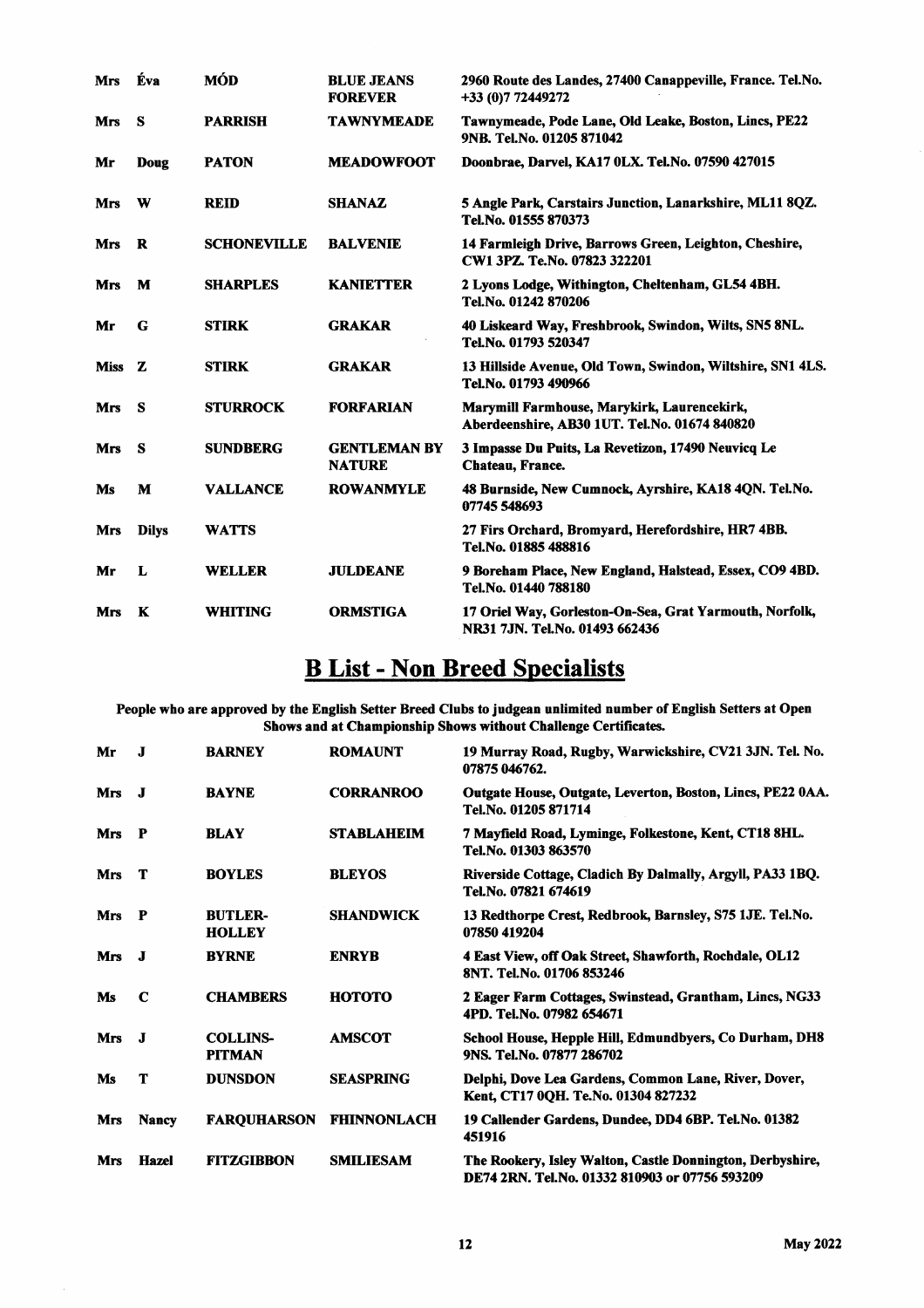| <b>Mrs</b> | Éva          | <b>MÓD</b>         | <b>BLUE JEANS</b><br><b>FOREVER</b>  | 2960 Route des Landes, 27400 Canappeville, France. Tel.No.<br>+33 (0) 772449272              |
|------------|--------------|--------------------|--------------------------------------|----------------------------------------------------------------------------------------------|
| Mrs        | <b>S</b>     | <b>PARRISH</b>     | <b>TAWNYMEADE</b>                    | Tawnymeade, Pode Lane, Old Leake, Boston, Lincs, PE22<br>9NB. Tel.No. 01205 871042           |
| Mr         | Doug         | <b>PATON</b>       | <b>MEADOWFOOT</b>                    | Doonbrae, Darvel, KA17 0LX. Tel. No. 07590 427015                                            |
| <b>Mrs</b> | W            | <b>REID</b>        | <b>SHANAZ</b>                        | 5 Angle Park, Carstairs Junction, Lanarkshire, ML11 8QZ.<br>Tel.No. 01555 870373             |
| Mrs        | R            | <b>SCHONEVILLE</b> | <b>BALVENIE</b>                      | 14 Farmleigh Drive, Barrows Green, Leighton, Cheshire,<br>CW1 3PZ. Te.No. 07823 322201       |
| Mrs        | M            | <b>SHARPLES</b>    | <b>KANIETTER</b>                     | 2 Lyons Lodge, Withington, Cheltenham, GL54 4BH.<br>Tel.No. 01242 870206                     |
| Mr         | G            | <b>STIRK</b>       | <b>GRAKAR</b>                        | 40 Liskeard Way, Freshbrook, Swindon, Wilts, SN5 8NL.<br>Tel.No. 01793 520347                |
| Miss Z     |              | <b>STIRK</b>       | <b>GRAKAR</b>                        | 13 Hillside Avenue, Old Town, Swindon, Wiltshire, SN1 4LS.<br>Tel.No. 01793 490966           |
| <b>Mrs</b> | <b>S</b>     | <b>STURROCK</b>    | <b>FORFARIAN</b>                     | Marymill Farmhouse, Marykirk, Laurencekirk,<br>Aberdeenshire, AB30 1UT. Tel.No. 01674 840820 |
| <b>Mrs</b> | S            | <b>SUNDBERG</b>    | <b>GENTLEMAN BY</b><br><b>NATURE</b> | 3 Impasse Du Puits, La Revetizon, 17490 Neuvicq Le<br>Chateau, France.                       |
| Ms         | M            | <b>VALLANCE</b>    | <b>ROWANMYLE</b>                     | 48 Burnside, New Cumnock, Ayrshire, KA18 4QN. Tel.No.<br>07745 548693                        |
| Mrs        | <b>Dilys</b> | <b>WATTS</b>       |                                      | 27 Firs Orchard, Bromyard, Herefordshire, HR7 4BB.<br>Tel.No. 01885 488816                   |
| Mr         | L            | <b>WELLER</b>      | <b>JULDEANE</b>                      | 9 Boreham Place, New England, Halstead, Essex, CO9 4BD.<br>Tel.No. 01440 788180              |
| <b>Mrs</b> | K            | WHITING            | <b>ORMSTIGA</b>                      | 17 Oriel Way, Gorleston-On-Sea, Grat Yarmouth, Norfolk,<br>NR31 7JN. Tel.No. 01493 662436    |

## **B List - Non Breed Specialists**

People who are approved by the English Setter Breed Clubs to judgean unlimited number of English Setters at Open Shows and at Championship Shows without Challenge Certificates.

| Mr         | $\bf{J}$     | <b>BARNEY</b>                    | <b>ROMAUNT</b>     | 19 Murray Road, Rugby, Warwickshire, CV21 3JN. Tel. No.<br>07875 046762.                                    |
|------------|--------------|----------------------------------|--------------------|-------------------------------------------------------------------------------------------------------------|
| Mrs        | <b>J</b>     | <b>BAYNE</b>                     | <b>CORRANROO</b>   | Outgate House, Outgate, Leverton, Boston, Lincs, PE22 0AA.<br>Tel.No. 01205 871714                          |
| <b>Mrs</b> | $\mathbf{P}$ | <b>BLAY</b>                      | <b>STABLAHEIM</b>  | 7 Mayfield Road, Lyminge, Folkestone, Kent, CT18 8HL.<br>Tel.No. 01303 863570                               |
| Mrs        | Т            | <b>BOYLES</b>                    | <b>BLEYOS</b>      | Riverside Cottage, Cladich By Dalmally, Argyll, PA33 1BQ.<br>Tel.No. 07821 674619                           |
| Mrs        | $\mathbf{P}$ | <b>BUTLER-</b><br><b>HOLLEY</b>  | <b>SHANDWICK</b>   | 13 Redthorpe Crest, Redbrook, Barnsley, S75 1JE. Tel.No.<br>07850 419204                                    |
| <b>Mrs</b> | - 1          | <b>BYRNE</b>                     | <b>ENRYB</b>       | 4 East View, off Oak Street, Shawforth, Rochdale, OL12<br>8NT. Tel.No. 01706 853246                         |
| Ms         | C            | <b>CHAMBERS</b>                  | нотото             | 2 Eager Farm Cottages, Swinstead, Grantham, Lincs, NG33<br>4PD. Tel.No. 07982 654671                        |
| Mrs        | <b>.I</b>    | <b>COLLINS-</b><br><b>PITMAN</b> | <b>AMSCOT</b>      | School House, Hepple Hill, Edmundbyers, Co Durham, DH8<br>9NS. Tel.No. 07877 286702                         |
| Ms         | т            | <b>DUNSDON</b>                   | <b>SEASPRING</b>   | Delphi, Dove Lea Gardens, Common Lane, River, Dover,<br>Kent, CT17 0QH. Te.No. 01304 827232                 |
| <b>Mrs</b> | <b>Nancy</b> | <b>FARQUHARSON</b>               | <b>FHINNONLACH</b> | 19 Callender Gardens, Dundee, DD4 6BP. Tel.No. 01382<br>451916                                              |
| <b>Mrs</b> | Hazel        | <b>FITZGIBBON</b>                | <b>SMILIESAM</b>   | The Rookery, Isley Walton, Castle Donnington, Derbyshire,<br>DE74 2RN. Tel.No. 01332 810903 or 07756 593209 |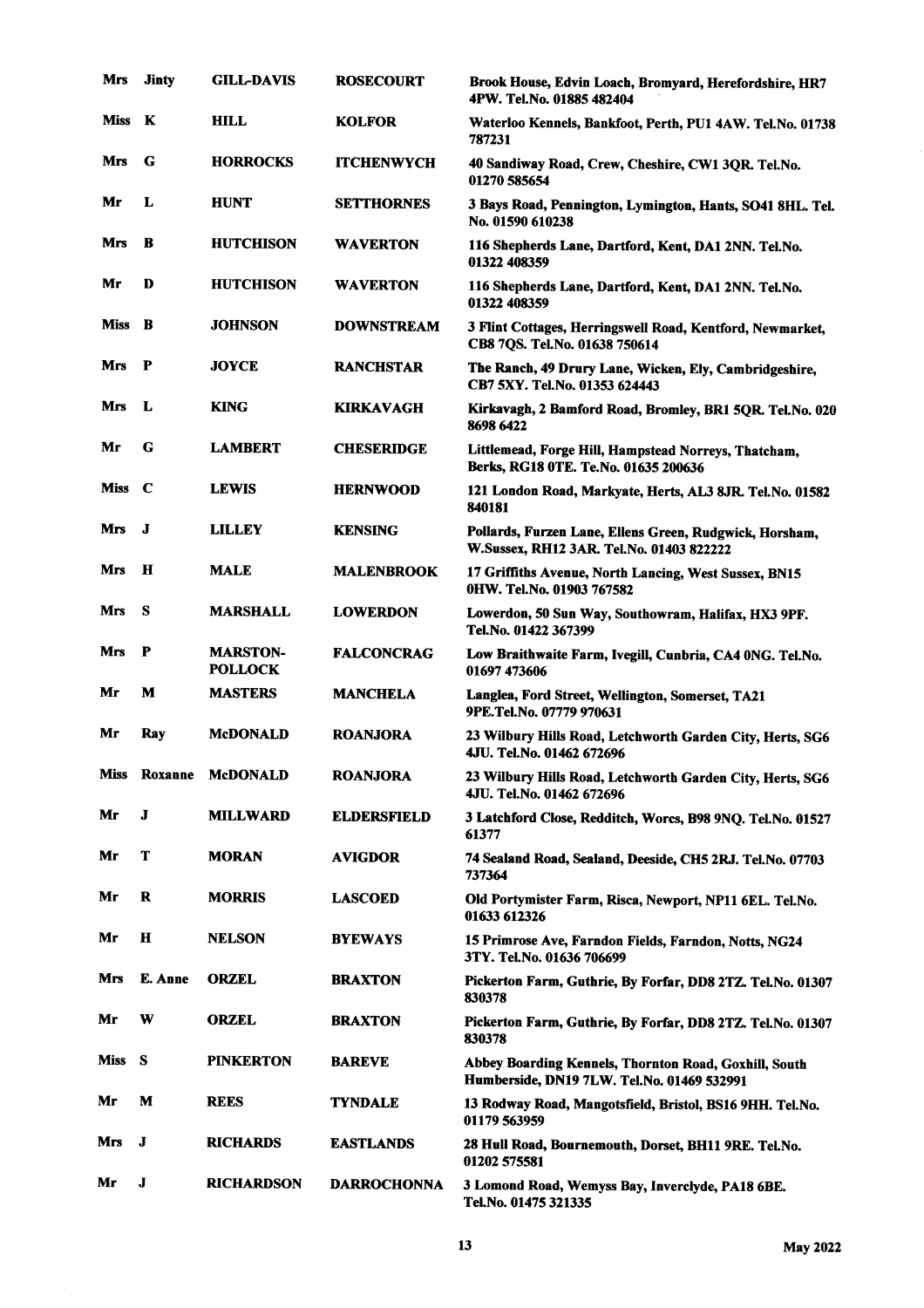| Mrs         | <b>Jinty</b> | <b>GILL-DAVIS</b>                 | <b>ROSECOURT</b>   | Brook House, Edvin Loach, Bromyard, Herefordshire, HR7<br>4PW. Tel.No. 01885 482404                 |
|-------------|--------------|-----------------------------------|--------------------|-----------------------------------------------------------------------------------------------------|
| Miss        | K            | <b>HILL</b>                       | <b>KOLFOR</b>      | Waterloo Kennels, Bankfoot, Perth, PU1 4AW. Tel.No. 01738<br>787231                                 |
| Mrs         | G            | <b>HORROCKS</b>                   | <b>ITCHENWYCH</b>  | 40 Sandiway Road, Crew, Cheshire, CW1 3QR. Tel.No.<br>01270 585654                                  |
| Mr          | L            | <b>HUNT</b>                       | <b>SETTHORNES</b>  | 3 Bays Road, Pennington, Lymington, Hants, SO41 8HL. Tel.<br>No. 01590 610238                       |
| Mrs         | B            | <b>HUTCHISON</b>                  | <b>WAVERTON</b>    | 116 Shepherds Lane, Dartford, Kent, DA1 2NN. Tel.No.<br>01322 408359                                |
| Mr          | D            | <b>HUTCHISON</b>                  | <b>WAVERTON</b>    | 116 Shepherds Lane, Dartford, Kent, DA1 2NN. Tel.No.<br>01322 408359                                |
| <b>Miss</b> | B            | <b>JOHNSON</b>                    | <b>DOWNSTREAM</b>  | 3 Flint Cottages, Herringswell Road, Kentford, Newmarket,<br>CB8 7QS. Tel.No. 01638 750614          |
| <b>Mrs</b>  | - P          | <b>JOYCE</b>                      | <b>RANCHSTAR</b>   | The Ranch, 49 Drury Lane, Wicken, Ely, Cambridgeshire,<br>CB7 5XY. Tel.No. 01353 624443             |
| Mrs         | L            | <b>KING</b>                       | <b>KIRKAVAGH</b>   | Kirkavagh, 2 Bamford Road, Bromley, BR1 5QR. Tel.No. 020<br>8698 6422                               |
| Mr          | G            | <b>LAMBERT</b>                    | <b>CHESERIDGE</b>  | Littlemead, Forge Hill, Hampstead Norreys, Thatcham,<br>Berks, RG18 0TE. Te.No. 01635 200636        |
| Miss        | $\mathbf c$  | <b>LEWIS</b>                      | <b>HERNWOOD</b>    | 121 London Road, Markyate, Herts, AL3 8JR. Tel.No. 01582<br>840181                                  |
| Mrs         | J            | <b>LILLEY</b>                     | <b>KENSING</b>     | Pollards, Furzen Lane, Ellens Green, Rudgwick, Horsham,<br>W.Sussex, RH12 3AR. Tel.No. 01403 822222 |
| Mrs         | $\bf{H}$     | <b>MALE</b>                       | <b>MALENBROOK</b>  | 17 Griffiths Avenue, North Lancing, West Sussex, BN15<br>0HW. Tel.No. 01903 767582                  |
| Mrs         | S            | <b>MARSHALL</b>                   | <b>LOWERDON</b>    | Lowerdon, 50 Sun Way, Southowram, Halifax, HX3 9PF.<br>Tel.No. 01422 367399                         |
| Mrs         | P            | <b>MARSTON-</b><br><b>POLLOCK</b> | <b>FALCONCRAG</b>  | Low Braithwaite Farm, Ivegill, Cunbria, CA4 0NG. Tel.No.<br>01697 473606                            |
| Mr          | М            | <b>MASTERS</b>                    | <b>MANCHELA</b>    | Langlea, Ford Street, Wellington, Somerset, TA21<br>9PE.Tel.No. 07779 970631                        |
| Mr          | Ray          | <b>McDONALD</b>                   | <b>ROANJORA</b>    | 23 Wilbury Hills Road, Letchworth Garden City, Herts, SG6<br>4JU. Tel.No. 01462 672696              |
| <b>Miss</b> | Roxanne      | <b>McDONALD</b>                   | <b>ROANJORA</b>    | 23 Wilbury Hills Road, Letchworth Garden City, Herts, SG6<br>4JU. Tel.No. 01462 672696              |
| Mr          | J            | <b>MILLWARD</b>                   | <b>ELDERSFIELD</b> | 3 Latchford Close, Redditch, Worcs, B98 9NQ. Tel.No. 01527<br>61377                                 |
| Mr          | T            | <b>MORAN</b>                      | <b>AVIGDOR</b>     | 74 Sealand Road, Sealand, Deeside, CH5 2RJ. Tel.No. 07703<br>737364                                 |
| Mr          | R            | <b>MORRIS</b>                     | <b>LASCOED</b>     | Old Portymister Farm, Risca, Newport, NP11 6EL. Tel.No.<br>01633 612326                             |
| Mr          | Н            | <b>NELSON</b>                     | <b>BYEWAYS</b>     | 15 Primrose Ave, Farndon Fields, Farndon, Notts, NG24<br>3TY. Tel.No. 01636 706699                  |
| Mrs         | E. Anne      | <b>ORZEL</b>                      | <b>BRAXTON</b>     | Pickerton Farm, Guthrie, By Forfar, DD8 2TZ. Tel.No. 01307<br>830378                                |
| Mr          | W            | <b>ORZEL</b>                      | <b>BRAXTON</b>     | Pickerton Farm, Guthrie, By Forfar, DD8 2TZ. Tel.No. 01307<br>830378                                |
| Miss        | - S          | <b>PINKERTON</b>                  | <b>BAREVE</b>      | Abbey Boarding Kennels, Thornton Road, Goxhill, South<br>Humberside, DN19 7LW. Tel.No. 01469 532991 |
| Mr          | M            | <b>REES</b>                       | TYNDALE            | 13 Rodway Road, Mangotsfield, Bristol, BS16 9HH. Tel.No.<br>01179 563959                            |
| Mrs         | J            | <b>RICHARDS</b>                   | <b>EASTLANDS</b>   | 28 Hull Road, Bournemouth, Dorset, BH11 9RE. Tel.No.<br>01202 575581                                |
| Mr          | J            | <b>RICHARDSON</b>                 | <b>DARROCHONNA</b> | 3 Lomond Road, Wemyss Bay, Inverclyde, PA18 6BE.<br>Tel.No. 01475 321335                            |